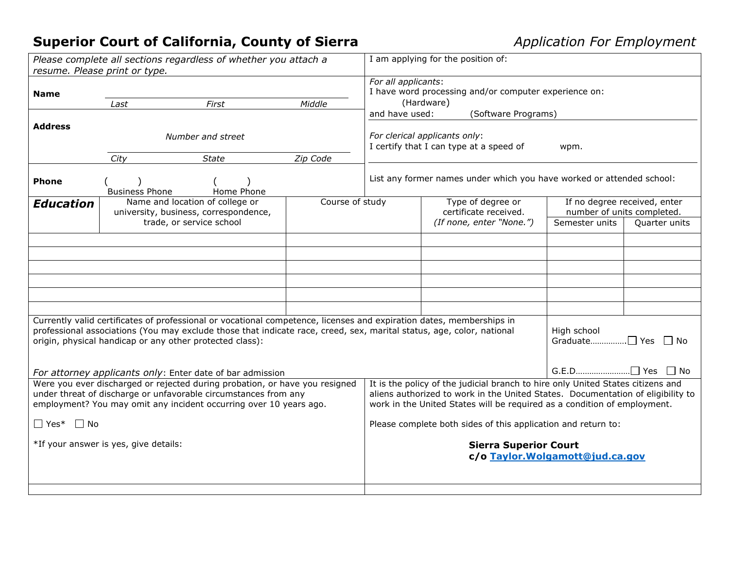## **Superior Court of California, County of Sierra** *<i>Application For Employment*

| Please complete all sections regardless of whether you attach a<br>resume. Please print or type.                                                                                                                                                                                                          |                               |                                                                                                      |                 | I am applying for the position of:                                                                                        |                                                                                                                                                                                                                                                |                                                                              |               |
|-----------------------------------------------------------------------------------------------------------------------------------------------------------------------------------------------------------------------------------------------------------------------------------------------------------|-------------------------------|------------------------------------------------------------------------------------------------------|-----------------|---------------------------------------------------------------------------------------------------------------------------|------------------------------------------------------------------------------------------------------------------------------------------------------------------------------------------------------------------------------------------------|------------------------------------------------------------------------------|---------------|
| <b>Name</b>                                                                                                                                                                                                                                                                                               | Last                          | First                                                                                                | Middle          | For all applicants:<br>I have word processing and/or computer experience on:<br>(Hardware)                                |                                                                                                                                                                                                                                                |                                                                              |               |
| <b>Address</b>                                                                                                                                                                                                                                                                                            | Number and street             |                                                                                                      |                 | and have used:<br>(Software Programs)<br>For clerical applicants only:<br>I certify that I can type at a speed of<br>wpm. |                                                                                                                                                                                                                                                |                                                                              |               |
| <b>Phone</b>                                                                                                                                                                                                                                                                                              | City<br><b>Business Phone</b> | <b>State</b><br>Home Phone                                                                           | Zip Code        |                                                                                                                           | List any former names under which you have worked or attended school:                                                                                                                                                                          |                                                                              |               |
| <b>Education</b>                                                                                                                                                                                                                                                                                          |                               | Name and location of college or<br>university, business, correspondence,<br>trade, or service school | Course of study |                                                                                                                           | Type of degree or<br>certificate received.<br>(If none, enter "None.")                                                                                                                                                                         | If no degree received, enter<br>number of units completed.<br>Semester units | Quarter units |
|                                                                                                                                                                                                                                                                                                           |                               |                                                                                                      |                 |                                                                                                                           |                                                                                                                                                                                                                                                |                                                                              |               |
|                                                                                                                                                                                                                                                                                                           |                               |                                                                                                      |                 |                                                                                                                           |                                                                                                                                                                                                                                                |                                                                              |               |
| Currently valid certificates of professional or vocational competence, licenses and expiration dates, memberships in<br>professional associations (You may exclude those that indicate race, creed, sex, marital status, age, color, national<br>origin, physical handicap or any other protected class): |                               |                                                                                                      |                 |                                                                                                                           | High school<br>Graduate□ Yes □ No                                                                                                                                                                                                              |                                                                              |               |
| For attorney applicants only: Enter date of bar admission<br>Were you ever discharged or rejected during probation, or have you resigned<br>under threat of discharge or unfavorable circumstances from any<br>employment? You may omit any incident occurring over 10 years ago.                         |                               |                                                                                                      |                 |                                                                                                                           | It is the policy of the judicial branch to hire only United States citizens and<br>aliens authorized to work in the United States. Documentation of eligibility to<br>work in the United States will be required as a condition of employment. |                                                                              |               |
| $\Box$ No<br>$\Box$ Yes*                                                                                                                                                                                                                                                                                  |                               |                                                                                                      |                 |                                                                                                                           | Please complete both sides of this application and return to:                                                                                                                                                                                  |                                                                              |               |
| *If your answer is yes, give details:                                                                                                                                                                                                                                                                     |                               |                                                                                                      |                 | <b>Sierra Superior Court</b><br>c/o Taylor. Wolgamott@jud.ca.gov                                                          |                                                                                                                                                                                                                                                |                                                                              |               |
|                                                                                                                                                                                                                                                                                                           |                               |                                                                                                      |                 |                                                                                                                           |                                                                                                                                                                                                                                                |                                                                              |               |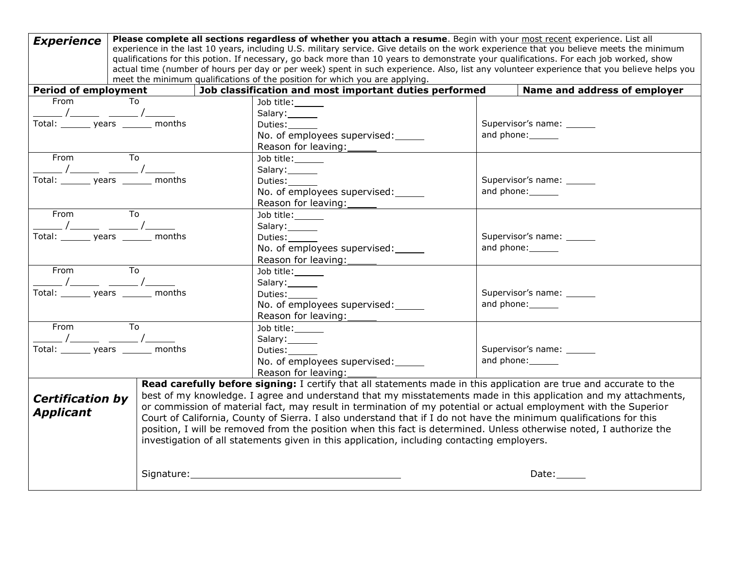| <b>Experience</b>                                                                                                                                                                                                                                  | Please complete all sections regardless of whether you attach a resume. Begin with your most recent experience. List all<br>experience in the last 10 years, including U.S. military service. Give details on the work experience that you believe meets the minimum<br>qualifications for this potion. If necessary, go back more than 10 years to demonstrate your qualifications. For each job worked, show<br>actual time (number of hours per day or per week) spent in such experience. Also, list any volunteer experience that you believe helps you<br>meet the minimum qualifications of the position for which you are applying. |                                                                                                                    |                              |  |  |  |  |
|----------------------------------------------------------------------------------------------------------------------------------------------------------------------------------------------------------------------------------------------------|---------------------------------------------------------------------------------------------------------------------------------------------------------------------------------------------------------------------------------------------------------------------------------------------------------------------------------------------------------------------------------------------------------------------------------------------------------------------------------------------------------------------------------------------------------------------------------------------------------------------------------------------|--------------------------------------------------------------------------------------------------------------------|------------------------------|--|--|--|--|
| <b>Period of employment</b>                                                                                                                                                                                                                        |                                                                                                                                                                                                                                                                                                                                                                                                                                                                                                                                                                                                                                             | Job classification and most important duties performed                                                             | Name and address of employer |  |  |  |  |
| From To                                                                                                                                                                                                                                            |                                                                                                                                                                                                                                                                                                                                                                                                                                                                                                                                                                                                                                             | Job title:                                                                                                         |                              |  |  |  |  |
|                                                                                                                                                                                                                                                    |                                                                                                                                                                                                                                                                                                                                                                                                                                                                                                                                                                                                                                             | Salary:                                                                                                            |                              |  |  |  |  |
| Total: years ______ months                                                                                                                                                                                                                         |                                                                                                                                                                                                                                                                                                                                                                                                                                                                                                                                                                                                                                             | Duties:                                                                                                            | Supervisor's name: ______    |  |  |  |  |
|                                                                                                                                                                                                                                                    |                                                                                                                                                                                                                                                                                                                                                                                                                                                                                                                                                                                                                                             | No. of employees supervised:                                                                                       | and phone: 1997              |  |  |  |  |
|                                                                                                                                                                                                                                                    |                                                                                                                                                                                                                                                                                                                                                                                                                                                                                                                                                                                                                                             |                                                                                                                    |                              |  |  |  |  |
| From                                                                                                                                                                                                                                               |                                                                                                                                                                                                                                                                                                                                                                                                                                                                                                                                                                                                                                             | Job title:                                                                                                         |                              |  |  |  |  |
|                                                                                                                                                                                                                                                    |                                                                                                                                                                                                                                                                                                                                                                                                                                                                                                                                                                                                                                             | Salary:                                                                                                            |                              |  |  |  |  |
| Total: ________ years _______ months                                                                                                                                                                                                               |                                                                                                                                                                                                                                                                                                                                                                                                                                                                                                                                                                                                                                             | Duties:______                                                                                                      | Supervisor's name: ______    |  |  |  |  |
|                                                                                                                                                                                                                                                    |                                                                                                                                                                                                                                                                                                                                                                                                                                                                                                                                                                                                                                             | No. of employees supervised:                                                                                       | and phone: 1.12              |  |  |  |  |
|                                                                                                                                                                                                                                                    |                                                                                                                                                                                                                                                                                                                                                                                                                                                                                                                                                                                                                                             | Reason for leaving:<br><u> </u>                                                                                    |                              |  |  |  |  |
| From<br><b>To</b>                                                                                                                                                                                                                                  |                                                                                                                                                                                                                                                                                                                                                                                                                                                                                                                                                                                                                                             | Job title:                                                                                                         |                              |  |  |  |  |
| $\frac{1}{\sqrt{2\pi}}$ $\frac{1}{\sqrt{2\pi}}$                                                                                                                                                                                                    |                                                                                                                                                                                                                                                                                                                                                                                                                                                                                                                                                                                                                                             | Salary:                                                                                                            |                              |  |  |  |  |
| Total: _______ years _______ months                                                                                                                                                                                                                |                                                                                                                                                                                                                                                                                                                                                                                                                                                                                                                                                                                                                                             | Duties:                                                                                                            | Supervisor's name: ______    |  |  |  |  |
|                                                                                                                                                                                                                                                    |                                                                                                                                                                                                                                                                                                                                                                                                                                                                                                                                                                                                                                             | No. of employees supervised:                                                                                       | and phone: 1997              |  |  |  |  |
|                                                                                                                                                                                                                                                    |                                                                                                                                                                                                                                                                                                                                                                                                                                                                                                                                                                                                                                             |                                                                                                                    |                              |  |  |  |  |
| $\begin{array}{c c c} \mathsf{From} & \mathsf{To} & \mathsf{---} \\ \hline \hspace{.2cm} \begin{array}{c} \begin{array}{c} \text{From} \\ \text{From} \end{array} & \begin{array}{c} \text{To} \\ \text{From} \end{array} \end{array} \end{array}$ |                                                                                                                                                                                                                                                                                                                                                                                                                                                                                                                                                                                                                                             | Job title:                                                                                                         |                              |  |  |  |  |
|                                                                                                                                                                                                                                                    |                                                                                                                                                                                                                                                                                                                                                                                                                                                                                                                                                                                                                                             | Salary:                                                                                                            |                              |  |  |  |  |
| Total: _______ years _______ months                                                                                                                                                                                                                |                                                                                                                                                                                                                                                                                                                                                                                                                                                                                                                                                                                                                                             | Duties:                                                                                                            | Supervisor's name: ______    |  |  |  |  |
|                                                                                                                                                                                                                                                    |                                                                                                                                                                                                                                                                                                                                                                                                                                                                                                                                                                                                                                             | No. of employees supervised:                                                                                       | and phone: 1997              |  |  |  |  |
|                                                                                                                                                                                                                                                    |                                                                                                                                                                                                                                                                                                                                                                                                                                                                                                                                                                                                                                             | Reason for leaving: 1997                                                                                           |                              |  |  |  |  |
| From To                                                                                                                                                                                                                                            |                                                                                                                                                                                                                                                                                                                                                                                                                                                                                                                                                                                                                                             | Job title:                                                                                                         |                              |  |  |  |  |
| $\frac{1}{\sqrt{2\pi}}$ $\frac{1}{\sqrt{2\pi}}$                                                                                                                                                                                                    |                                                                                                                                                                                                                                                                                                                                                                                                                                                                                                                                                                                                                                             | Salary:                                                                                                            |                              |  |  |  |  |
| Total: _______ years _______ months                                                                                                                                                                                                                |                                                                                                                                                                                                                                                                                                                                                                                                                                                                                                                                                                                                                                             | Duties:______                                                                                                      | Supervisor's name: ______    |  |  |  |  |
|                                                                                                                                                                                                                                                    |                                                                                                                                                                                                                                                                                                                                                                                                                                                                                                                                                                                                                                             | No. of employees supervised:                                                                                       | and phone: 1997              |  |  |  |  |
|                                                                                                                                                                                                                                                    |                                                                                                                                                                                                                                                                                                                                                                                                                                                                                                                                                                                                                                             | Reason for leaving:                                                                                                |                              |  |  |  |  |
|                                                                                                                                                                                                                                                    |                                                                                                                                                                                                                                                                                                                                                                                                                                                                                                                                                                                                                                             | Read carefully before signing: I certify that all statements made in this application are true and accurate to the |                              |  |  |  |  |
| <b>Certification by</b>                                                                                                                                                                                                                            |                                                                                                                                                                                                                                                                                                                                                                                                                                                                                                                                                                                                                                             | best of my knowledge. I agree and understand that my misstatements made in this application and my attachments,    |                              |  |  |  |  |
| or commission of material fact, may result in termination of my potential or actual employment with the Superior<br><b>Applicant</b>                                                                                                               |                                                                                                                                                                                                                                                                                                                                                                                                                                                                                                                                                                                                                                             |                                                                                                                    |                              |  |  |  |  |
|                                                                                                                                                                                                                                                    | Court of California, County of Sierra. I also understand that if I do not have the minimum qualifications for this                                                                                                                                                                                                                                                                                                                                                                                                                                                                                                                          |                                                                                                                    |                              |  |  |  |  |
|                                                                                                                                                                                                                                                    | position, I will be removed from the position when this fact is determined. Unless otherwise noted, I authorize the<br>investigation of all statements given in this application, including contacting employers.                                                                                                                                                                                                                                                                                                                                                                                                                           |                                                                                                                    |                              |  |  |  |  |
|                                                                                                                                                                                                                                                    |                                                                                                                                                                                                                                                                                                                                                                                                                                                                                                                                                                                                                                             |                                                                                                                    |                              |  |  |  |  |
|                                                                                                                                                                                                                                                    |                                                                                                                                                                                                                                                                                                                                                                                                                                                                                                                                                                                                                                             |                                                                                                                    |                              |  |  |  |  |
|                                                                                                                                                                                                                                                    |                                                                                                                                                                                                                                                                                                                                                                                                                                                                                                                                                                                                                                             |                                                                                                                    | Date: 1988                   |  |  |  |  |
|                                                                                                                                                                                                                                                    |                                                                                                                                                                                                                                                                                                                                                                                                                                                                                                                                                                                                                                             |                                                                                                                    |                              |  |  |  |  |